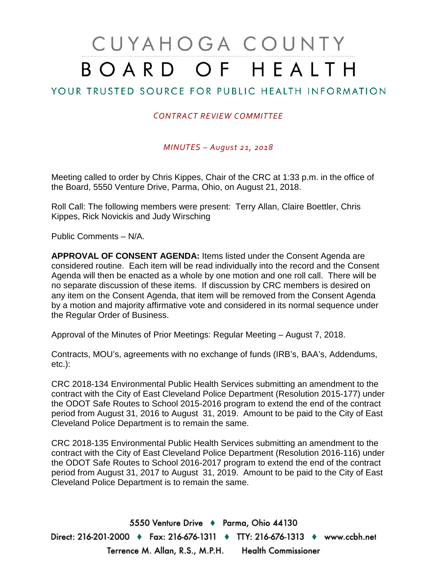## CUYAHOGA COUNTY BOARD OF HEALTH

## YOUR TRUSTED SOURCE FOR PUBLIC HEALTH INFORMATION

## *CONTRACT REVIEW COMMITTEE*

*MINUTES – August 21, 2018*

Meeting called to order by Chris Kippes, Chair of the CRC at 1:33 p.m. in the office of the Board, 5550 Venture Drive, Parma, Ohio, on August 21, 2018.

Roll Call: The following members were present: Terry Allan, Claire Boettler, Chris Kippes, Rick Novickis and Judy Wirsching

Public Comments – N/A.

**APPROVAL OF CONSENT AGENDA:** Items listed under the Consent Agenda are considered routine. Each item will be read individually into the record and the Consent Agenda will then be enacted as a whole by one motion and one roll call. There will be no separate discussion of these items. If discussion by CRC members is desired on any item on the Consent Agenda, that item will be removed from the Consent Agenda by a motion and majority affirmative vote and considered in its normal sequence under the Regular Order of Business.

Approval of the Minutes of Prior Meetings: Regular Meeting – August 7, 2018.

Contracts, MOU's, agreements with no exchange of funds (IRB's, BAA's, Addendums, etc.):

CRC 2018-134 Environmental Public Health Services submitting an amendment to the contract with the City of East Cleveland Police Department (Resolution 2015-177) under the ODOT Safe Routes to School 2015-2016 program to extend the end of the contract period from August 31, 2016 to August 31, 2019. Amount to be paid to the City of East Cleveland Police Department is to remain the same.

CRC 2018-135 Environmental Public Health Services submitting an amendment to the contract with the City of East Cleveland Police Department (Resolution 2016-116) under the ODOT Safe Routes to School 2016-2017 program to extend the end of the contract period from August 31, 2017 to August 31, 2019. Amount to be paid to the City of East Cleveland Police Department is to remain the same.

5550 Venture Drive + Parma, Ohio 44130 Direct: 216-201-2000 ♦ Fax: 216-676-1311 ♦ TTY: 216-676-1313 ♦ www.ccbh.net Terrence M. Allan, R.S., M.P.H. Health Commissioner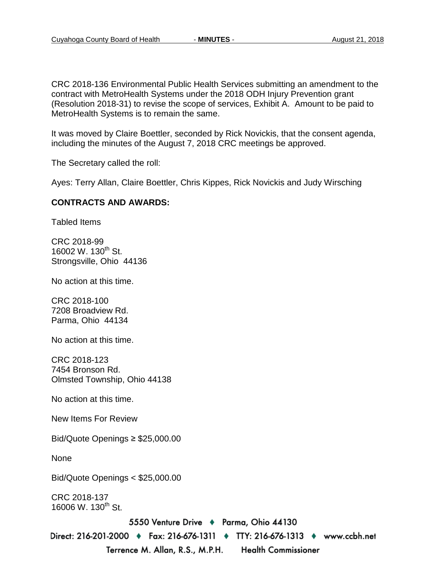CRC 2018-136 Environmental Public Health Services submitting an amendment to the contract with MetroHealth Systems under the 2018 ODH Injury Prevention grant (Resolution 2018-31) to revise the scope of services, Exhibit A. Amount to be paid to MetroHealth Systems is to remain the same.

It was moved by Claire Boettler, seconded by Rick Novickis, that the consent agenda, including the minutes of the August 7, 2018 CRC meetings be approved.

The Secretary called the roll:

Ayes: Terry Allan, Claire Boettler, Chris Kippes, Rick Novickis and Judy Wirsching

## **CONTRACTS AND AWARDS:**

Tabled Items

CRC 2018-99 16002 W. 130<sup>th</sup> St. Strongsville, Ohio 44136

No action at this time.

CRC 2018-100 7208 Broadview Rd. Parma, Ohio 44134

No action at this time.

CRC 2018-123 7454 Bronson Rd. Olmsted Township, Ohio 44138

No action at this time.

New Items For Review

Bid/Quote Openings ≥ \$25,000.00

None

Bid/Quote Openings < \$25,000.00

CRC 2018-137 16006 W. 130<sup>th</sup> St.

5550 Venture Drive + Parma, Ohio 44130

Direct: 216-201-2000 ♦ Fax: 216-676-1311 ♦ TTY: 216-676-1313 ♦ www.ccbh.net Terrence M. Allan, R.S., M.P.H. **Health Commissioner**